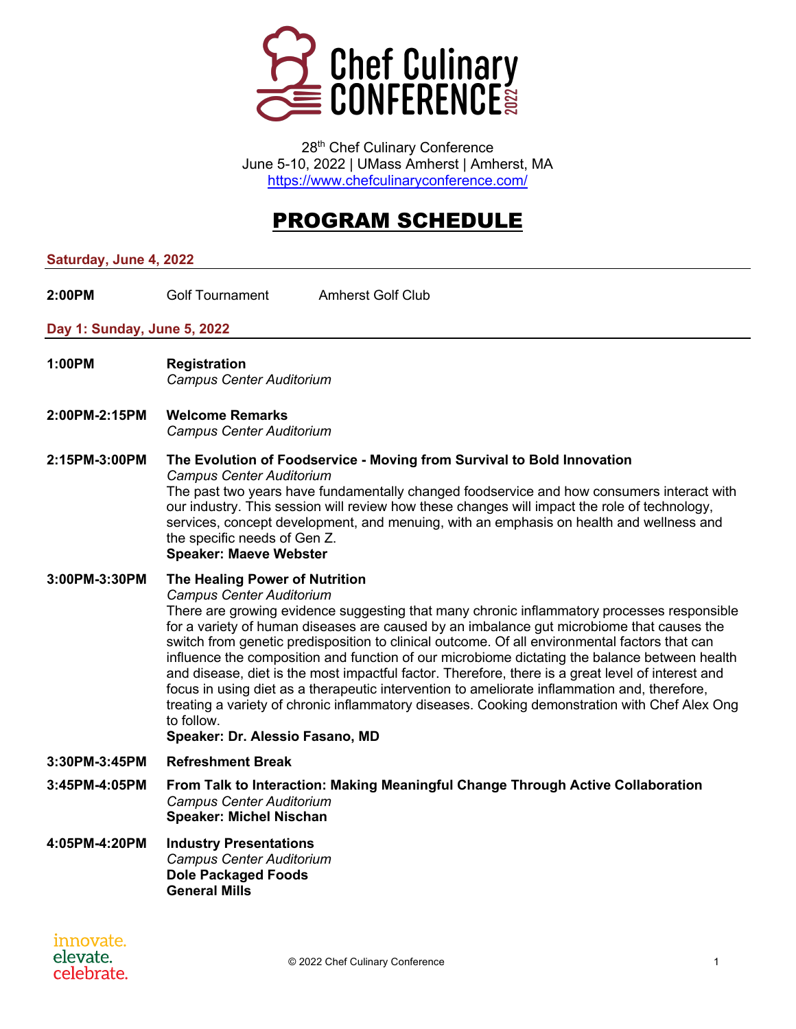

28<sup>th</sup> Chef Culinary Conference June 5-10, 2022 | UMass Amherst | Amherst, MA https://www.chefculinaryconference.com/

# PROGRAM SCHEDULE

#### **Saturday, June 4, 2022**

**2:00PM** Golf Tournament Amherst Golf Club

# **Day 1: Sunday, June 5, 2022**

- **1:00PM Registration** *Campus Center Auditorium*
- **2:00PM-2:15PM Welcome Remarks** *Campus Center Auditorium*

#### **2:15PM-3:00PM The Evolution of Foodservice - Moving from Survival to Bold Innovation** *Campus Center Auditorium*

The past two years have fundamentally changed foodservice and how consumers interact with our industry. This session will review how these changes will impact the role of technology, services, concept development, and menuing, with an emphasis on health and wellness and the specific needs of Gen Z.

#### **Speaker: Maeve Webster**

#### **3:00PM-3:30PM The Healing Power of Nutrition**

*Campus Center Auditorium*

There are growing evidence suggesting that many chronic inflammatory processes responsible for a variety of human diseases are caused by an imbalance gut microbiome that causes the switch from genetic predisposition to clinical outcome. Of all environmental factors that can influence the composition and function of our microbiome dictating the balance between health and disease, diet is the most impactful factor. Therefore, there is a great level of interest and focus in using diet as a therapeutic intervention to ameliorate inflammation and, therefore, treating a variety of chronic inflammatory diseases. Cooking demonstration with Chef Alex Ong to follow.

**Speaker: Dr. Alessio Fasano, MD**

- **3:30PM-3:45PM Refreshment Break**
- **3:45PM-4:05PM From Talk to Interaction: Making Meaningful Change Through Active Collaboration** *Campus Center Auditorium* **Speaker: Michel Nischan**
- **4:05PM-4:20PM Industry Presentations** *Campus Center Auditorium* **Dole Packaged Foods General Mills**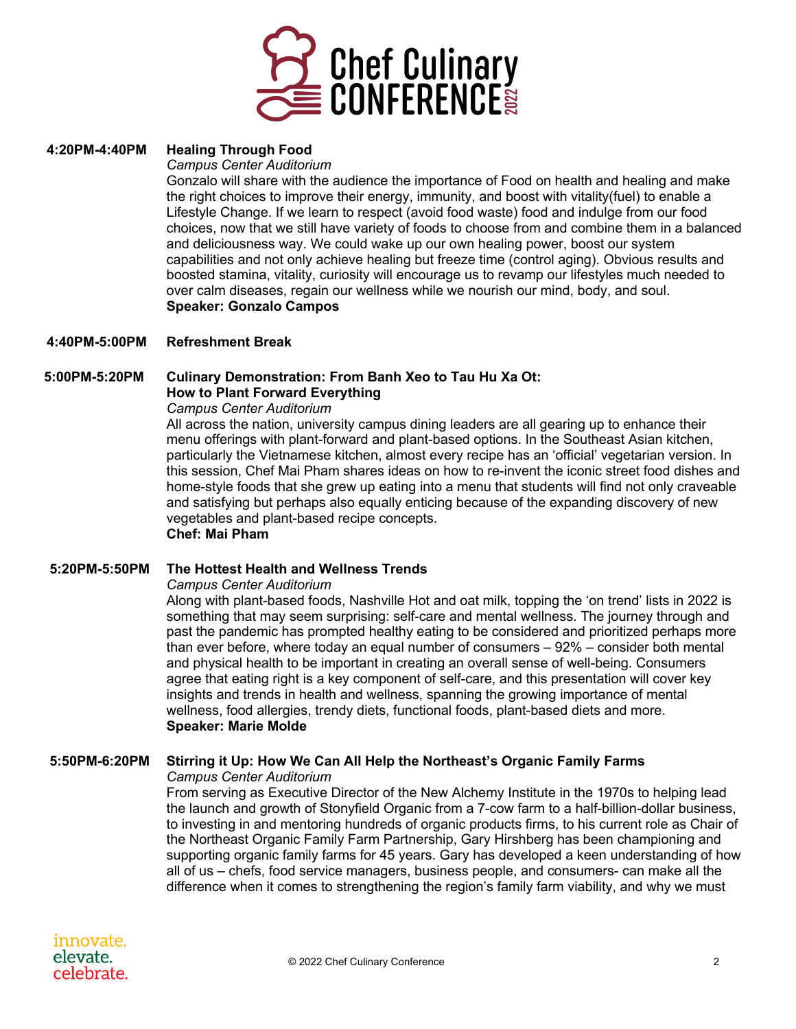

# **4:20PM-4:40PM Healing Through Food**

*Campus Center Auditorium*

Gonzalo will share with the audience the importance of Food on health and healing and make the right choices to improve their energy, immunity, and boost with vitality(fuel) to enable a Lifestyle Change. If we learn to respect (avoid food waste) food and indulge from our food choices, now that we still have variety of foods to choose from and combine them in a balanced and deliciousness way. We could wake up our own healing power, boost our system capabilities and not only achieve healing but freeze time (control aging). Obvious results and boosted stamina, vitality, curiosity will encourage us to revamp our lifestyles much needed to over calm diseases, regain our wellness while we nourish our mind, body, and soul. **Speaker: Gonzalo Campos**

#### **4:40PM-5:00PM Refreshment Break**

#### **5:00PM-5:20PM Culinary Demonstration: From Banh Xeo to Tau Hu Xa Ot: How to Plant Forward Everything**

*Campus Center Auditorium*

All across the nation, university campus dining leaders are all gearing up to enhance their menu offerings with plant-forward and plant-based options. In the Southeast Asian kitchen, particularly the Vietnamese kitchen, almost every recipe has an 'official' vegetarian version. In this session, Chef Mai Pham shares ideas on how to re-invent the iconic street food dishes and home-style foods that she grew up eating into a menu that students will find not only craveable and satisfying but perhaps also equally enticing because of the expanding discovery of new vegetables and plant-based recipe concepts.

## **Chef: Mai Pham**

#### **5:20PM-5:50PM The Hottest Health and Wellness Trends**

#### *Campus Center Auditorium*

Along with plant-based foods, Nashville Hot and oat milk, topping the 'on trend' lists in 2022 is something that may seem surprising: self-care and mental wellness. The journey through and past the pandemic has prompted healthy eating to be considered and prioritized perhaps more than ever before, where today an equal number of consumers – 92% – consider both mental and physical health to be important in creating an overall sense of well-being. Consumers agree that eating right is a key component of self-care, and this presentation will cover key insights and trends in health and wellness, spanning the growing importance of mental wellness, food allergies, trendy diets, functional foods, plant-based diets and more. **Speaker: Marie Molde**

#### **5:50PM-6:20PM Stirring it Up: How We Can All Help the Northeast's Organic Family Farms**

*Campus Center Auditorium*

From serving as Executive Director of the New Alchemy Institute in the 1970s to helping lead the launch and growth of Stonyfield Organic from a 7-cow farm to a half-billion-dollar business, to investing in and mentoring hundreds of organic products firms, to his current role as Chair of the Northeast Organic Family Farm Partnership, Gary Hirshberg has been championing and supporting organic family farms for 45 years. Gary has developed a keen understanding of how all of us – chefs, food service managers, business people, and consumers- can make all the difference when it comes to strengthening the region's family farm viability, and why we must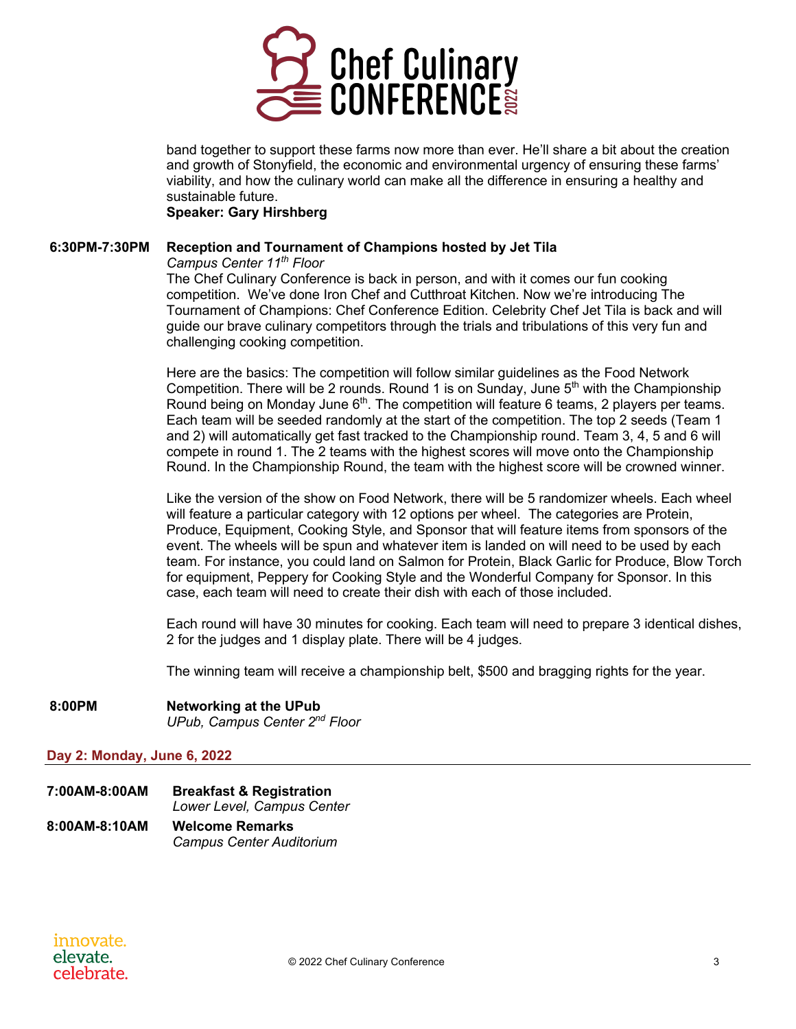

band together to support these farms now more than ever. He'll share a bit about the creation and growth of Stonyfield, the economic and environmental urgency of ensuring these farms' viability, and how the culinary world can make all the difference in ensuring a healthy and sustainable future.

**Speaker: Gary Hirshberg**

#### **6:30PM-7:30PM Reception and Tournament of Champions hosted by Jet Tila**

*Campus Center 11th Floor*

The Chef Culinary Conference is back in person, and with it comes our fun cooking competition. We've done Iron Chef and Cutthroat Kitchen. Now we're introducing The Tournament of Champions: Chef Conference Edition. Celebrity Chef Jet Tila is back and will guide our brave culinary competitors through the trials and tribulations of this very fun and challenging cooking competition.

Here are the basics: The competition will follow similar guidelines as the Food Network Competition. There will be 2 rounds. Round 1 is on Sunday, June  $5<sup>th</sup>$  with the Championship Round being on Monday June  $6<sup>th</sup>$ . The competition will feature 6 teams, 2 players per teams. Each team will be seeded randomly at the start of the competition. The top 2 seeds (Team 1 and 2) will automatically get fast tracked to the Championship round. Team 3, 4, 5 and 6 will compete in round 1. The 2 teams with the highest scores will move onto the Championship Round. In the Championship Round, the team with the highest score will be crowned winner.

Like the version of the show on Food Network, there will be 5 randomizer wheels. Each wheel will feature a particular category with 12 options per wheel. The categories are Protein, Produce, Equipment, Cooking Style, and Sponsor that will feature items from sponsors of the event. The wheels will be spun and whatever item is landed on will need to be used by each team. For instance, you could land on Salmon for Protein, Black Garlic for Produce, Blow Torch for equipment, Peppery for Cooking Style and the Wonderful Company for Sponsor. In this case, each team will need to create their dish with each of those included.

Each round will have 30 minutes for cooking. Each team will need to prepare 3 identical dishes, 2 for the judges and 1 display plate. There will be 4 judges.

The winning team will receive a championship belt, \$500 and bragging rights for the year.

**8:00PM Networking at the UPub** *UPub, Campus Center 2nd Floor*

#### **Day 2: Monday, June 6, 2022**

**7:00AM-8:00AM Breakfast & Registration** *Lower Level, Campus Center* **8:00AM-8:10AM Welcome Remarks** *Campus Center Auditorium*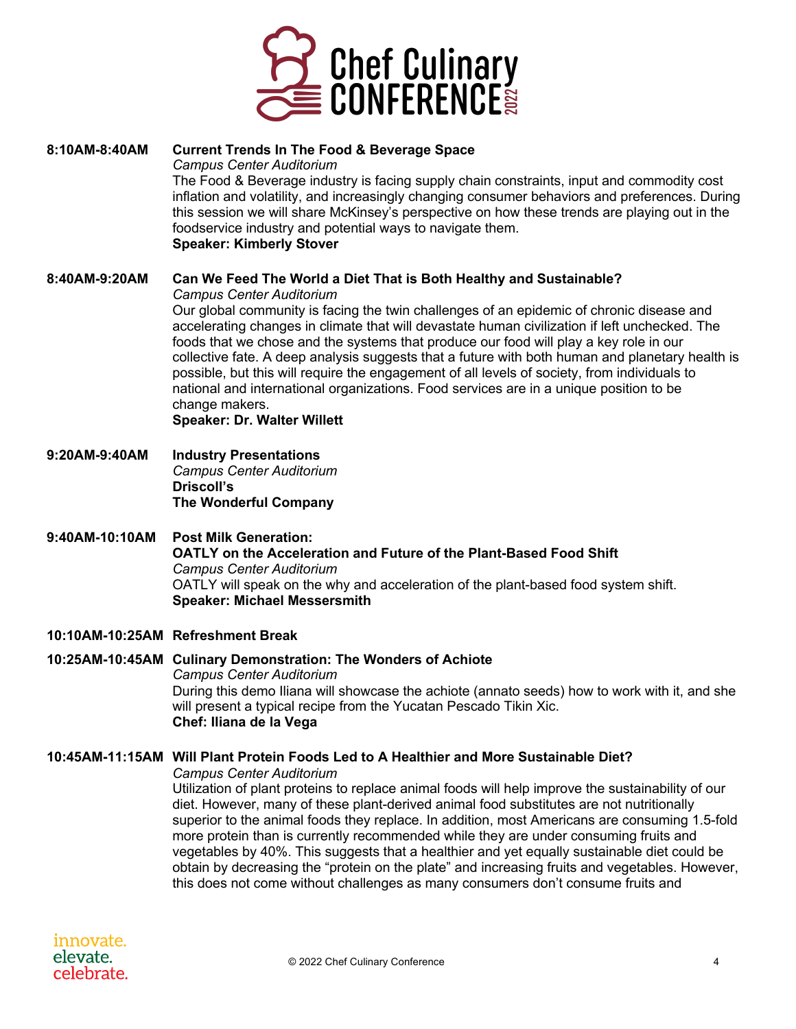

**8:10AM-8:40AM Current Trends In The Food & Beverage Space** *Campus Center Auditorium* The Food & Beverage industry is facing supply chain constraints, input and commodity cost inflation and volatility, and increasingly changing consumer behaviors and preferences. During this session we will share McKinsey's perspective on how these trends are playing out in the foodservice industry and potential ways to navigate them.

**Speaker: Kimberly Stover**

# **8:40AM-9:20AM Can We Feed The World a Diet That is Both Healthy and Sustainable?**

*Campus Center Auditorium*

Our global community is facing the twin challenges of an epidemic of chronic disease and accelerating changes in climate that will devastate human civilization if left unchecked. The foods that we chose and the systems that produce our food will play a key role in our collective fate. A deep analysis suggests that a future with both human and planetary health is possible, but this will require the engagement of all levels of society, from individuals to national and international organizations. Food services are in a unique position to be change makers.

**Speaker: Dr. Walter Willett**

- **9:20AM-9:40AM Industry Presentations** *Campus Center Auditorium* **Driscoll's The Wonderful Company**
- **9:40AM-10:10AM Post Milk Generation: OATLY on the Acceleration and Future of the Plant-Based Food Shift** *Campus Center Auditorium* OATLY will speak on the why and acceleration of the plant-based food system shift. **Speaker: Michael Messersmith**

#### **10:10AM-10:25AM Refreshment Break**

## **10:25AM-10:45AM Culinary Demonstration: The Wonders of Achiote** *Campus Center Auditorium* During this demo Iliana will showcase the achiote (annato seeds) how to work with it, and she will present a typical recipe from the Yucatan Pescado Tikin Xic. **Chef: Iliana de la Vega**

# **10:45AM-11:15AM Will Plant Protein Foods Led to A Healthier and More Sustainable Diet?**

*Campus Center Auditorium*

Utilization of plant proteins to replace animal foods will help improve the sustainability of our diet. However, many of these plant-derived animal food substitutes are not nutritionally superior to the animal foods they replace. In addition, most Americans are consuming 1.5-fold more protein than is currently recommended while they are under consuming fruits and vegetables by 40%. This suggests that a healthier and yet equally sustainable diet could be obtain by decreasing the "protein on the plate" and increasing fruits and vegetables. However, this does not come without challenges as many consumers don't consume fruits and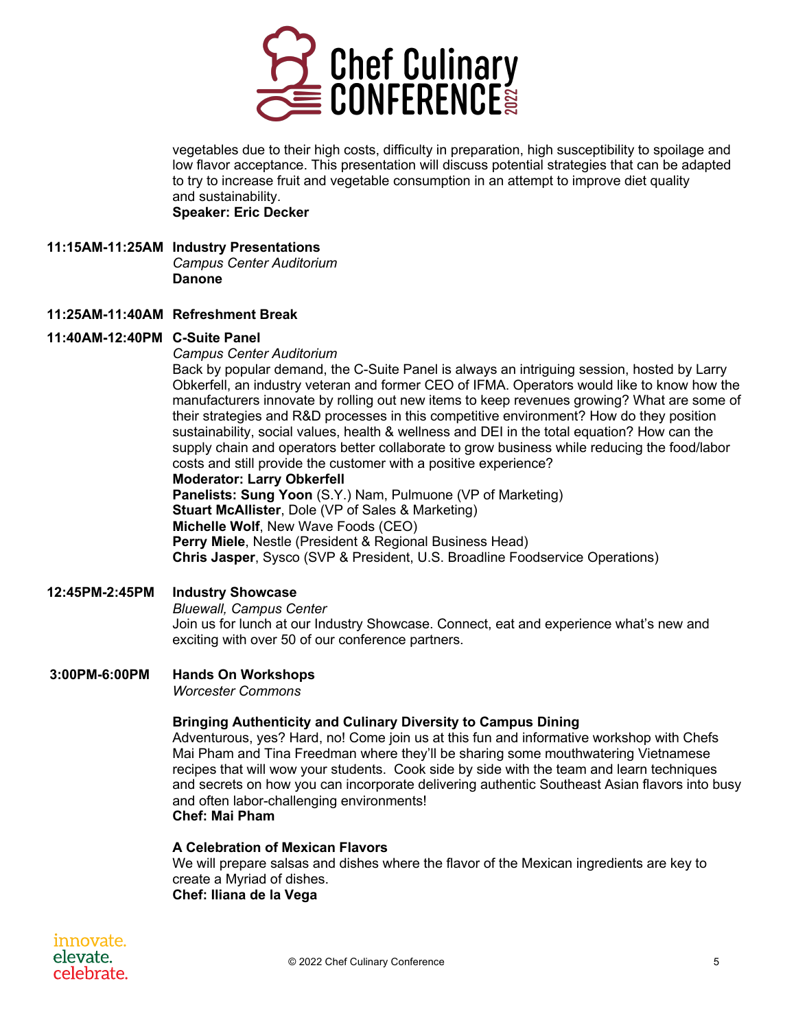

vegetables due to their high costs, difficulty in preparation, high susceptibility to spoilage and low flavor acceptance. This presentation will discuss potential strategies that can be adapted to try to increase fruit and vegetable consumption in an attempt to improve diet quality and sustainability. **Speaker: Eric Decker**

**11:15AM-11:25AM Industry Presentations** *Campus Center Auditorium* **Danone**

#### **11:25AM-11:40AM Refreshment Break**

#### **11:40AM-12:40PM C-Suite Panel**

#### *Campus Center Auditorium*

Back by popular demand, the C-Suite Panel is always an intriguing session, hosted by Larry Obkerfell, an industry veteran and former CEO of IFMA. Operators would like to know how the manufacturers innovate by rolling out new items to keep revenues growing? What are some of their strategies and R&D processes in this competitive environment? How do they position sustainability, social values, health & wellness and DEI in the total equation? How can the supply chain and operators better collaborate to grow business while reducing the food/labor costs and still provide the customer with a positive experience?

#### **Moderator: Larry Obkerfell**

**Panelists: Sung Yoon** (S.Y.) Nam, Pulmuone (VP of Marketing) **Stuart McAllister**, Dole (VP of Sales & Marketing) **Michelle Wolf**, New Wave Foods (CEO) **Perry Miele**, Nestle (President & Regional Business Head) **Chris Jasper**, Sysco (SVP & President, U.S. Broadline Foodservice Operations)

**12:45PM-2:45PM Industry Showcase** *Bluewall, Campus Center* Join us for lunch at our Industry Showcase. Connect, eat and experience what's new and exciting with over 50 of our conference partners.

# **3:00PM-6:00PM Hands On Workshops**

*Worcester Commons*

# **Bringing Authenticity and Culinary Diversity to Campus Dining**

Adventurous, yes? Hard, no! Come join us at this fun and informative workshop with Chefs Mai Pham and Tina Freedman where they'll be sharing some mouthwatering Vietnamese recipes that will wow your students. Cook side by side with the team and learn techniques and secrets on how you can incorporate delivering authentic Southeast Asian flavors into busy and often labor-challenging environments! **Chef: Mai Pham**

# **A Celebration of Mexican Flavors**

We will prepare salsas and dishes where the flavor of the Mexican ingredients are key to create a Myriad of dishes. **Chef: Iliana de la Vega**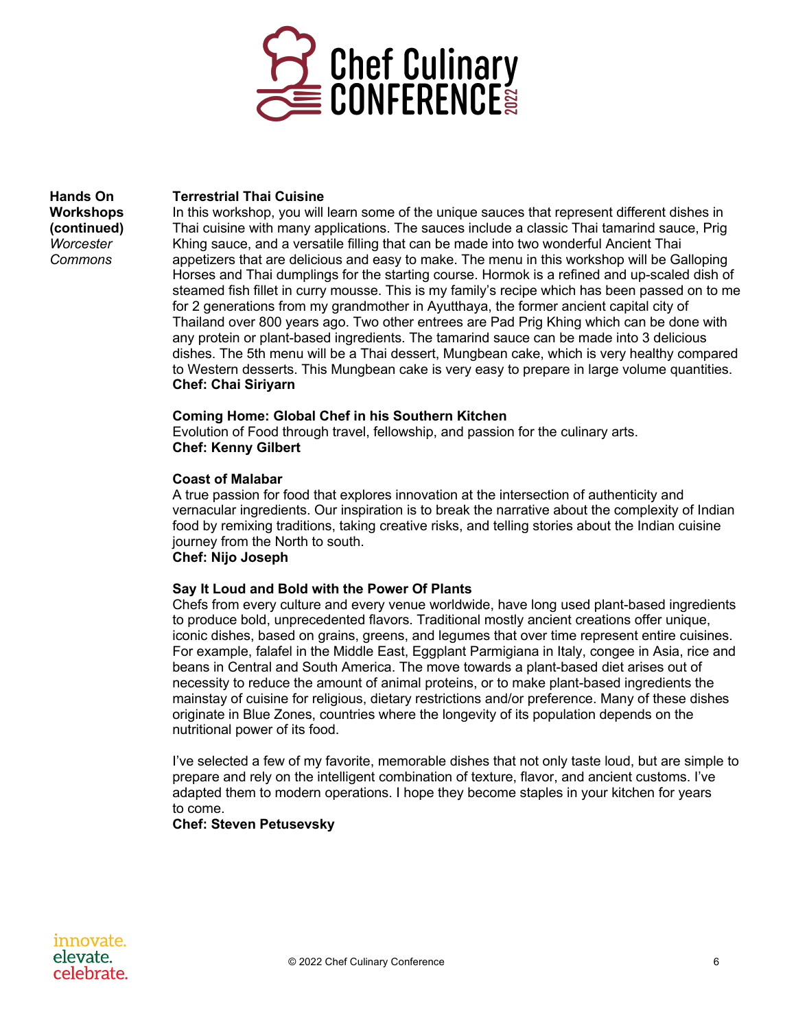

**Hands On Workshops (continued)** *Worcester Commons*

#### **Terrestrial Thai Cuisine**

In this workshop, you will learn some of the unique sauces that represent different dishes in Thai cuisine with many applications. The sauces include a classic Thai tamarind sauce, Prig Khing sauce, and a versatile filling that can be made into two wonderful Ancient Thai appetizers that are delicious and easy to make. The menu in this workshop will be Galloping Horses and Thai dumplings for the starting course. Hormok is a refined and up-scaled dish of steamed fish fillet in curry mousse. This is my family's recipe which has been passed on to me for 2 generations from my grandmother in Ayutthaya, the former ancient capital city of Thailand over 800 years ago. Two other entrees are Pad Prig Khing which can be done with any protein or plant-based ingredients. The tamarind sauce can be made into 3 delicious dishes. The 5th menu will be a Thai dessert, Mungbean cake, which is very healthy compared to Western desserts. This Mungbean cake is very easy to prepare in large volume quantities. **Chef: Chai Siriyarn**

#### **Coming Home: Global Chef in his Southern Kitchen**

Evolution of Food through travel, fellowship, and passion for the culinary arts. **Chef: Kenny Gilbert**

#### **Coast of Malabar**

A true passion for food that explores innovation at the intersection of authenticity and vernacular ingredients. Our inspiration is to break the narrative about the complexity of Indian food by remixing traditions, taking creative risks, and telling stories about the Indian cuisine journey from the North to south.

# **Chef: Nijo Joseph**

#### **Say It Loud and Bold with the Power Of Plants**

Chefs from every culture and every venue worldwide, have long used plant-based ingredients to produce bold, unprecedented flavors. Traditional mostly ancient creations offer unique, iconic dishes, based on grains, greens, and legumes that over time represent entire cuisines. For example, falafel in the Middle East, Eggplant Parmigiana in Italy, congee in Asia, rice and beans in Central and South America. The move towards a plant-based diet arises out of necessity to reduce the amount of animal proteins, or to make plant-based ingredients the mainstay of cuisine for religious, dietary restrictions and/or preference. Many of these dishes originate in Blue Zones, countries where the longevity of its population depends on the nutritional power of its food.

I've selected a few of my favorite, memorable dishes that not only taste loud, but are simple to prepare and rely on the intelligent combination of texture, flavor, and ancient customs. I've adapted them to modern operations. I hope they become staples in your kitchen for years to come.

#### **Chef: Steven Petusevsky**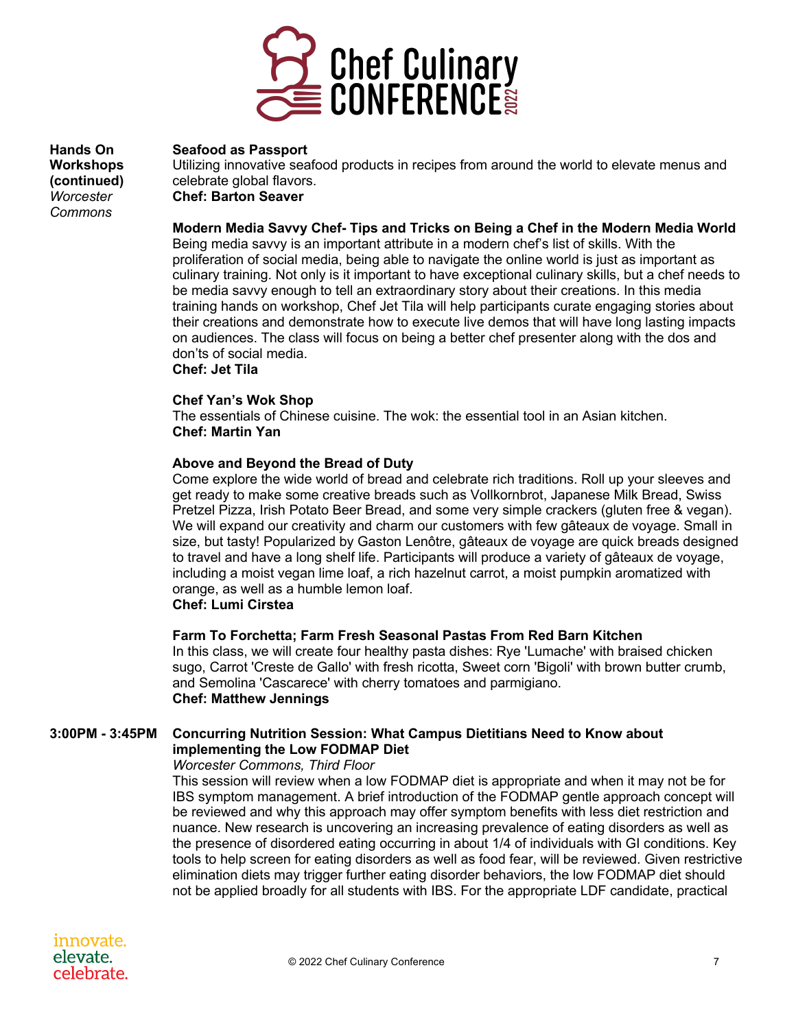

#### **Seafood as Passport**

**Hands On Workshops (continued)** *Worcester Commons*

Utilizing innovative seafood products in recipes from around the world to elevate menus and celebrate global flavors.

**Chef: Barton Seaver**

#### **Modern Media Savvy Chef- Tips and Tricks on Being a Chef in the Modern Media World**

Being media savvy is an important attribute in a modern chef's list of skills. With the proliferation of social media, being able to navigate the online world is just as important as culinary training. Not only is it important to have exceptional culinary skills, but a chef needs to be media savvy enough to tell an extraordinary story about their creations. In this media training hands on workshop, Chef Jet Tila will help participants curate engaging stories about their creations and demonstrate how to execute live demos that will have long lasting impacts on audiences. The class will focus on being a better chef presenter along with the dos and don'ts of social media.

**Chef: Jet Tila**

#### **Chef Yan's Wok Shop**

The essentials of Chinese cuisine. The wok: the essential tool in an Asian kitchen. **Chef: Martin Yan**

#### **Above and Beyond the Bread of Duty**

Come explore the wide world of bread and celebrate rich traditions. Roll up your sleeves and get ready to make some creative breads such as Vollkornbrot, Japanese Milk Bread, Swiss Pretzel Pizza, Irish Potato Beer Bread, and some very simple crackers (gluten free & vegan). We will expand our creativity and charm our customers with few gâteaux de voyage. Small in size, but tasty! Popularized by Gaston Lenôtre, gâteaux de voyage are quick breads designed to travel and have a long shelf life. Participants will produce a variety of gâteaux de voyage, including a moist vegan lime loaf, a rich hazelnut carrot, a moist pumpkin aromatized with orange, as well as a humble lemon loaf.

#### **Chef: Lumi Cirstea**

#### **Farm To Forchetta; Farm Fresh Seasonal Pastas From Red Barn Kitchen**

In this class, we will create four healthy pasta dishes: Rye 'Lumache' with braised chicken sugo, Carrot 'Creste de Gallo' with fresh ricotta, Sweet corn 'Bigoli' with brown butter crumb, and Semolina 'Cascarece' with cherry tomatoes and parmigiano. **Chef: Matthew Jennings**

# **3:00PM - 3:45PM Concurring Nutrition Session: What Campus Dietitians Need to Know about implementing the Low FODMAP Diet**

#### *Worcester Commons, Third Floor*

This session will review when a low FODMAP diet is appropriate and when it may not be for IBS symptom management. A brief introduction of the FODMAP gentle approach concept will be reviewed and why this approach may offer symptom benefits with less diet restriction and nuance. New research is uncovering an increasing prevalence of eating disorders as well as the presence of disordered eating occurring in about 1/4 of individuals with GI conditions. Key tools to help screen for eating disorders as well as food fear, will be reviewed. Given restrictive elimination diets may trigger further eating disorder behaviors, the low FODMAP diet should not be applied broadly for all students with IBS. For the appropriate LDF candidate, practical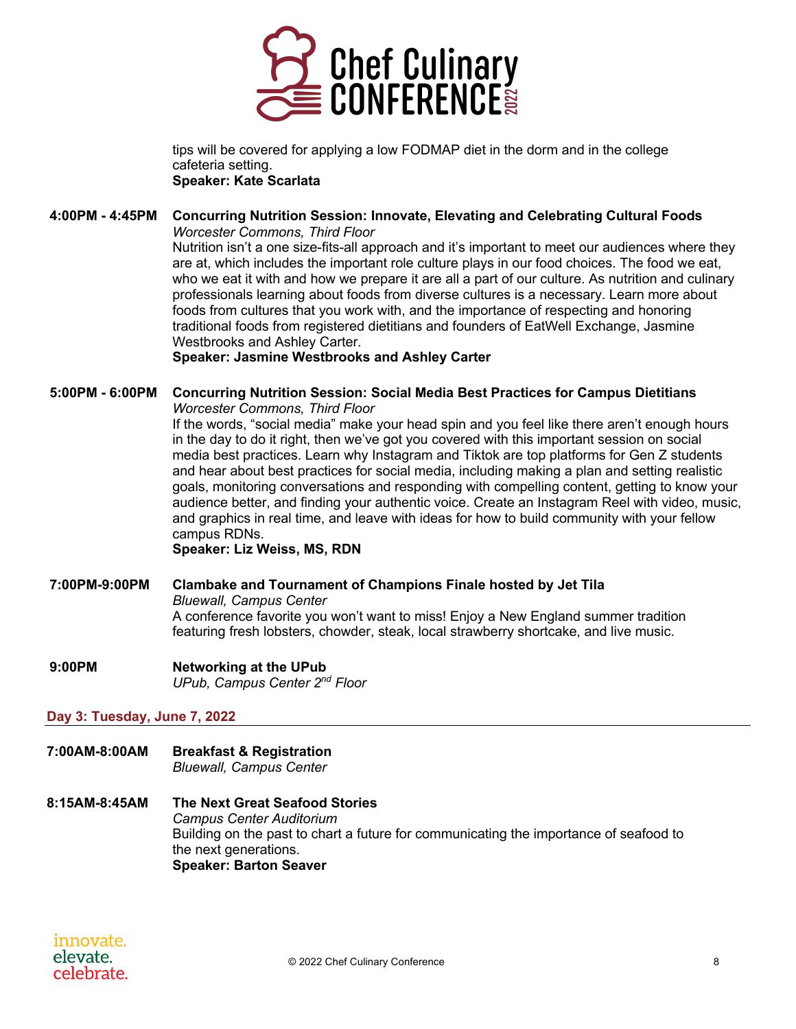

tips will be covered for applying a low FODMAP diet in the dorm and in the college cafeteria setting. **Speaker: Kate Scarlata**

#### **4:00PM - 4:45PM Concurring Nutrition Session: Innovate, Elevating and Celebrating Cultural Foods** *Worcester Commons, Third Floor*

Nutrition isn't a one size-fits-all approach and it's important to meet our audiences where they are at, which includes the important role culture plays in our food choices. The food we eat, who we eat it with and how we prepare it are all a part of our culture. As nutrition and culinary professionals learning about foods from diverse cultures is a necessary. Learn more about foods from cultures that you work with, and the importance of respecting and honoring traditional foods from registered dietitians and founders of EatWell Exchange, Jasmine Westbrooks and Ashley Carter.

**Speaker: Jasmine Westbrooks and Ashley Carter**

#### **5:00PM - 6:00PM Concurring Nutrition Session: Social Media Best Practices for Campus Dietitians** *Worcester Commons, Third Floor*

If the words, "social media" make your head spin and you feel like there aren't enough hours in the day to do it right, then we've got you covered with this important session on social media best practices. Learn why Instagram and Tiktok are top platforms for Gen Z students and hear about best practices for social media, including making a plan and setting realistic goals, monitoring conversations and responding with compelling content, getting to know your audience better, and finding your authentic voice. Create an Instagram Reel with video, music, and graphics in real time, and leave with ideas for how to build community with your fellow campus RDNs.

**Speaker: Liz Weiss, MS, RDN**

# **7:00PM-9:00PM Clambake and Tournament of Champions Finale hosted by Jet Tila** *Bluewall, Campus Center* A conference favorite you won't want to miss! Enjoy a New England summer tradition featuring fresh lobsters, chowder, steak, local strawberry shortcake, and live music.

#### **9:00PM Networking at the UPub** *UPub, Campus Center 2nd Floor*

#### **Day 3: Tuesday, June 7, 2022**

**7:00AM-8:00AM Breakfast & Registration** *Bluewall, Campus Center*

#### **8:15AM-8:45AM The Next Great Seafood Stories** *Campus Center Auditorium* Building on the past to chart a future for communicating the importance of seafood to the next generations. **Speaker: Barton Seaver**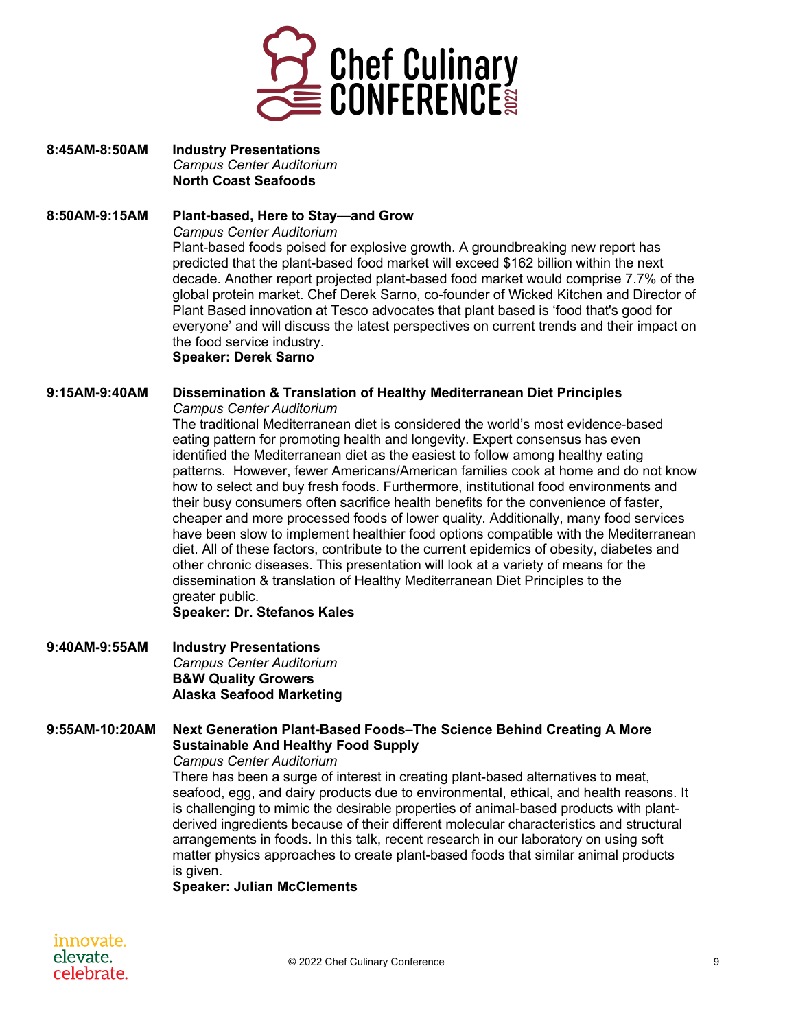

**8:45AM-8:50AM Industry Presentations** *Campus Center Auditorium* **North Coast Seafoods**

#### **8:50AM-9:15AM Plant-based, Here to Stay—and Grow**

*Campus Center Auditorium*

Plant-based foods poised for explosive growth. A groundbreaking new report has predicted that the plant-based food market will exceed \$162 billion within the next decade. Another report projected plant-based food market would comprise 7.7% of the global protein market. Chef Derek Sarno, co-founder of Wicked Kitchen and Director of Plant Based innovation at Tesco advocates that plant based is 'food that's good for everyone' and will discuss the latest perspectives on current trends and their impact on the food service industry.

**Speaker: Derek Sarno**

# **9:15AM-9:40AM Dissemination & Translation of Healthy Mediterranean Diet Principles**

*Campus Center Auditorium*

The traditional Mediterranean diet is considered the world's most evidence-based eating pattern for promoting health and longevity. Expert consensus has even identified the Mediterranean diet as the easiest to follow among healthy eating patterns. However, fewer Americans/American families cook at home and do not know how to select and buy fresh foods. Furthermore, institutional food environments and their busy consumers often sacrifice health benefits for the convenience of faster, cheaper and more processed foods of lower quality. Additionally, many food services have been slow to implement healthier food options compatible with the Mediterranean diet. All of these factors, contribute to the current epidemics of obesity, diabetes and other chronic diseases. This presentation will look at a variety of means for the dissemination & translation of Healthy Mediterranean Diet Principles to the greater public.

**Speaker: Dr. Stefanos Kales**

**9:40AM-9:55AM Industry Presentations** *Campus Center Auditorium* **B&W Quality Growers Alaska Seafood Marketing**

# **9:55AM-10:20AM Next Generation Plant-Based Foods–The Science Behind Creating A More Sustainable And Healthy Food Supply**

#### *Campus Center Auditorium*

There has been a surge of interest in creating plant-based alternatives to meat, seafood, egg, and dairy products due to environmental, ethical, and health reasons. It is challenging to mimic the desirable properties of animal-based products with plantderived ingredients because of their different molecular characteristics and structural arrangements in foods. In this talk, recent research in our laboratory on using soft matter physics approaches to create plant-based foods that similar animal products is given.

**Speaker: Julian McClements**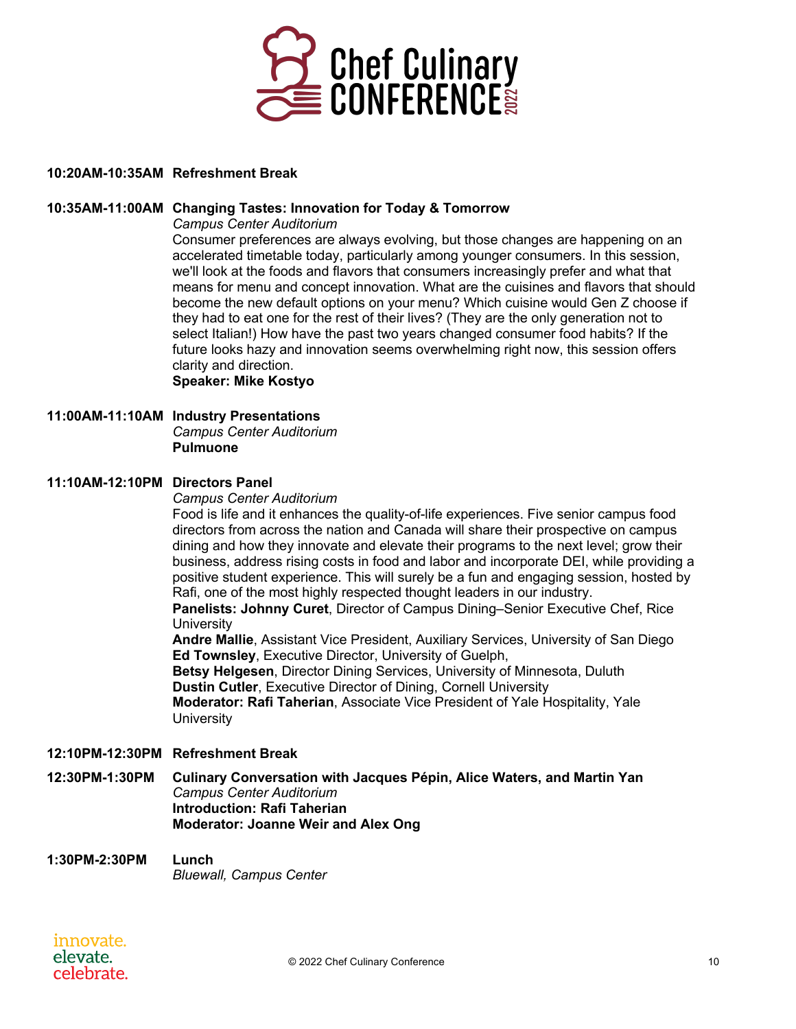

#### **10:20AM-10:35AM Refreshment Break**

#### **10:35AM-11:00AM Changing Tastes: Innovation for Today & Tomorrow**

*Campus Center Auditorium*

Consumer preferences are always evolving, but those changes are happening on an accelerated timetable today, particularly among younger consumers. In this session, we'll look at the foods and flavors that consumers increasingly prefer and what that means for menu and concept innovation. What are the cuisines and flavors that should become the new default options on your menu? Which cuisine would Gen Z choose if they had to eat one for the rest of their lives? (They are the only generation not to select Italian!) How have the past two years changed consumer food habits? If the future looks hazy and innovation seems overwhelming right now, this session offers clarity and direction.

**Speaker: Mike Kostyo**

# **11:00AM-11:10AM Industry Presentations**

*Campus Center Auditorium* **Pulmuone**

#### **11:10AM-12:10PM Directors Panel**

#### *Campus Center Auditorium*

Food is life and it enhances the quality-of-life experiences. Five senior campus food directors from across the nation and Canada will share their prospective on campus dining and how they innovate and elevate their programs to the next level; grow their business, address rising costs in food and labor and incorporate DEI, while providing a positive student experience. This will surely be a fun and engaging session, hosted by Rafi, one of the most highly respected thought leaders in our industry.

**Panelists: Johnny Curet**, Director of Campus Dining–Senior Executive Chef, Rice **University** 

**Andre Mallie**, Assistant Vice President, Auxiliary Services, University of San Diego **Ed Townsley**, Executive Director, University of Guelph,

**Betsy Helgesen**, Director Dining Services, University of Minnesota, Duluth **Dustin Cutler**, Executive Director of Dining, Cornell University

**Moderator: Rafi Taherian**, Associate Vice President of Yale Hospitality, Yale **University** 

# **12:10PM-12:30PM Refreshment Break**

**12:30PM-1:30PM Culinary Conversation with Jacques Pépin, Alice Waters, and Martin Yan** *Campus Center Auditorium* **Introduction: Rafi Taherian Moderator: Joanne Weir and Alex Ong**

#### **1:30PM-2:30PM Lunch** *Bluewall, Campus Center*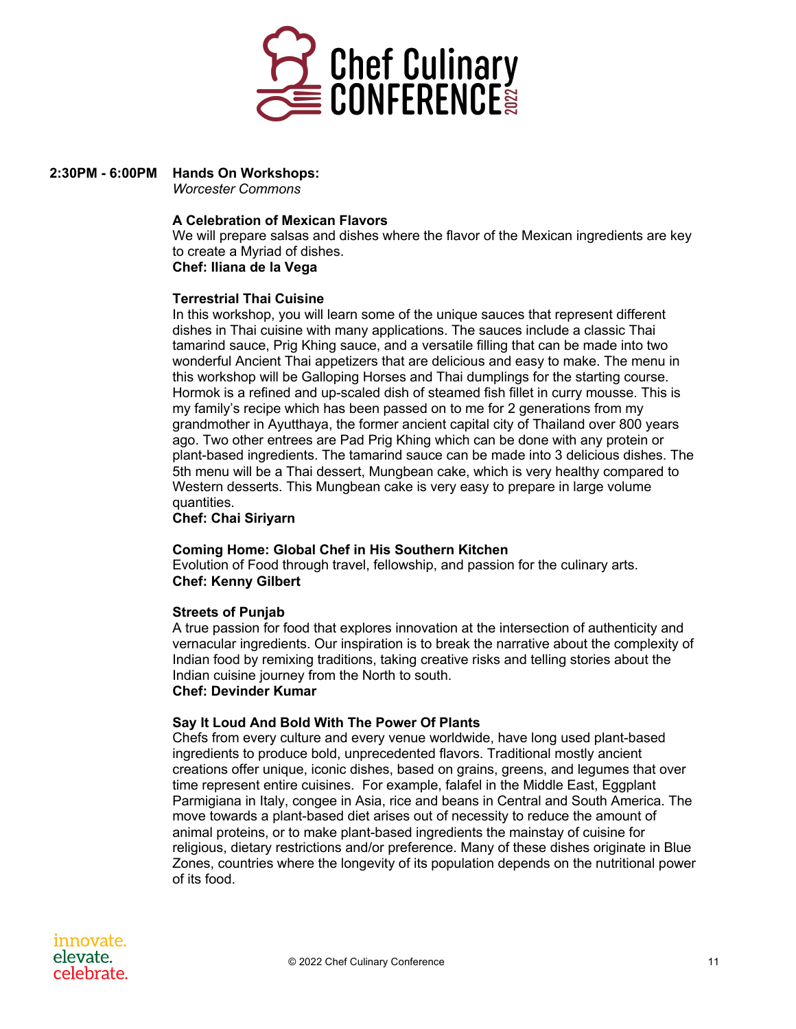

**2:30PM - 6:00PM Hands On Workshops:**

*Worcester Commons*

## **A Celebration of Mexican Flavors**

We will prepare salsas and dishes where the flavor of the Mexican ingredients are key to create a Myriad of dishes. **Chef: Iliana de la Vega**

**Terrestrial Thai Cuisine** In this workshop, you will learn some of the unique sauces that represent different dishes in Thai cuisine with many applications. The sauces include a classic Thai tamarind sauce, Prig Khing sauce, and a versatile filling that can be made into two wonderful Ancient Thai appetizers that are delicious and easy to make. The menu in this workshop will be Galloping Horses and Thai dumplings for the starting course. Hormok is a refined and up-scaled dish of steamed fish fillet in curry mousse. This is my family's recipe which has been passed on to me for 2 generations from my grandmother in Ayutthaya, the former ancient capital city of Thailand over 800 years ago. Two other entrees are Pad Prig Khing which can be done with any protein or plant-based ingredients. The tamarind sauce can be made into 3 delicious dishes. The 5th menu will be a Thai dessert, Mungbean cake, which is very healthy compared to Western desserts. This Mungbean cake is very easy to prepare in large volume quantities.

**Chef: Chai Siriyarn**

#### **Coming Home: Global Chef in His Southern Kitchen**

Evolution of Food through travel, fellowship, and passion for the culinary arts. **Chef: Kenny Gilbert**

#### **Streets of Punjab**

A true passion for food that explores innovation at the intersection of authenticity and vernacular ingredients. Our inspiration is to break the narrative about the complexity of Indian food by remixing traditions, taking creative risks and telling stories about the Indian cuisine journey from the North to south. **Chef: Devinder Kumar** 

#### **Say It Loud And Bold With The Power Of Plants**

Chefs from every culture and every venue worldwide, have long used plant-based ingredients to produce bold, unprecedented flavors. Traditional mostly ancient creations offer unique, iconic dishes, based on grains, greens, and legumes that over time represent entire cuisines. For example, falafel in the Middle East, Eggplant Parmigiana in Italy, congee in Asia, rice and beans in Central and South America. The move towards a plant-based diet arises out of necessity to reduce the amount of animal proteins, or to make plant-based ingredients the mainstay of cuisine for religious, dietary restrictions and/or preference. Many of these dishes originate in Blue Zones, countries where the longevity of its population depends on the nutritional power of its food.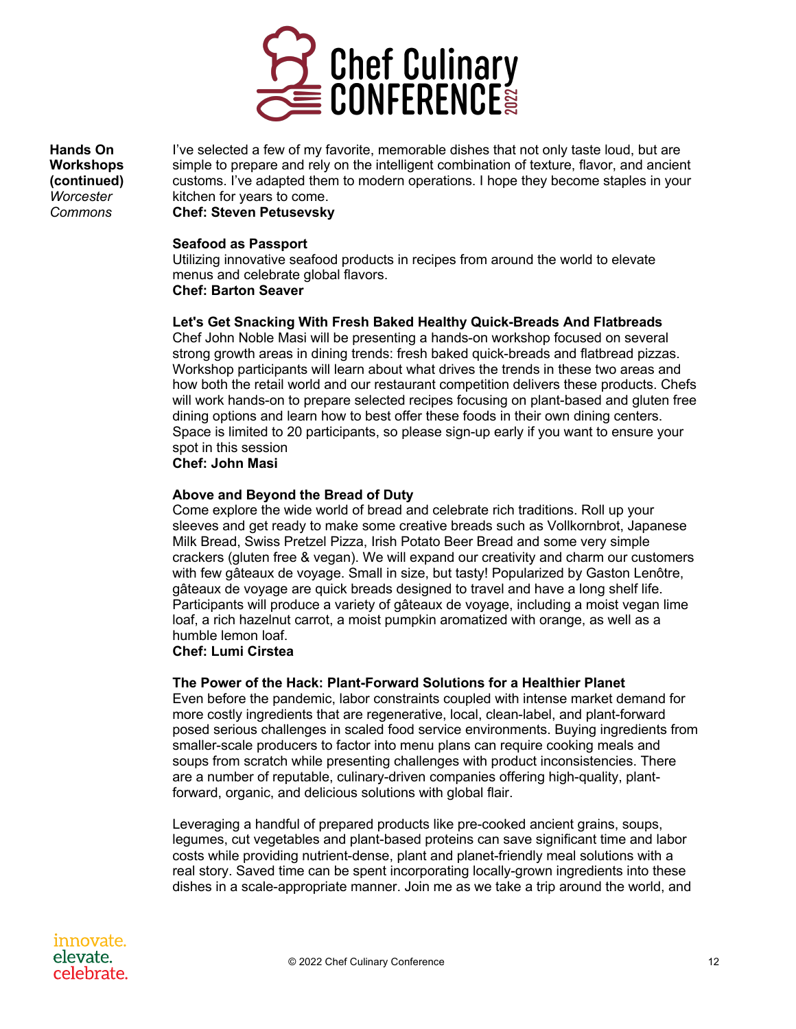

**Hands On Workshops (continued)** *Worcester Commons*

I've selected a few of my favorite, memorable dishes that not only taste loud, but are simple to prepare and rely on the intelligent combination of texture, flavor, and ancient customs. I've adapted them to modern operations. I hope they become staples in your kitchen for years to come.

**Chef: Steven Petusevsky**

#### **Seafood as Passport**

Utilizing innovative seafood products in recipes from around the world to elevate menus and celebrate global flavors. **Chef: Barton Seaver**

#### **Let's Get Snacking With Fresh Baked Healthy Quick-Breads And Flatbreads**

Chef John Noble Masi will be presenting a hands-on workshop focused on several strong growth areas in dining trends: fresh baked quick-breads and flatbread pizzas. Workshop participants will learn about what drives the trends in these two areas and how both the retail world and our restaurant competition delivers these products. Chefs will work hands-on to prepare selected recipes focusing on plant-based and gluten free dining options and learn how to best offer these foods in their own dining centers. Space is limited to 20 participants, so please sign-up early if you want to ensure your spot in this session

**Chef: John Masi**

#### **Above and Beyond the Bread of Duty**

Come explore the wide world of bread and celebrate rich traditions. Roll up your sleeves and get ready to make some creative breads such as Vollkornbrot, Japanese Milk Bread, Swiss Pretzel Pizza, Irish Potato Beer Bread and some very simple crackers (gluten free & vegan). We will expand our creativity and charm our customers with few gâteaux de voyage. Small in size, but tasty! Popularized by Gaston Lenôtre, gâteaux de voyage are quick breads designed to travel and have a long shelf life. Participants will produce a variety of gâteaux de voyage, including a moist vegan lime loaf, a rich hazelnut carrot, a moist pumpkin aromatized with orange, as well as a humble lemon loaf.

#### **Chef: Lumi Cirstea**

#### **The Power of the Hack: Plant-Forward Solutions for a Healthier Planet**

Even before the pandemic, labor constraints coupled with intense market demand for more costly ingredients that are regenerative, local, clean-label, and plant-forward posed serious challenges in scaled food service environments. Buying ingredients from smaller-scale producers to factor into menu plans can require cooking meals and soups from scratch while presenting challenges with product inconsistencies. There are a number of reputable, culinary-driven companies offering high-quality, plantforward, organic, and delicious solutions with global flair.

Leveraging a handful of prepared products like pre-cooked ancient grains, soups, legumes, cut vegetables and plant-based proteins can save significant time and labor costs while providing nutrient-dense, plant and planet-friendly meal solutions with a real story. Saved time can be spent incorporating locally-grown ingredients into these dishes in a scale-appropriate manner. Join me as we take a trip around the world, and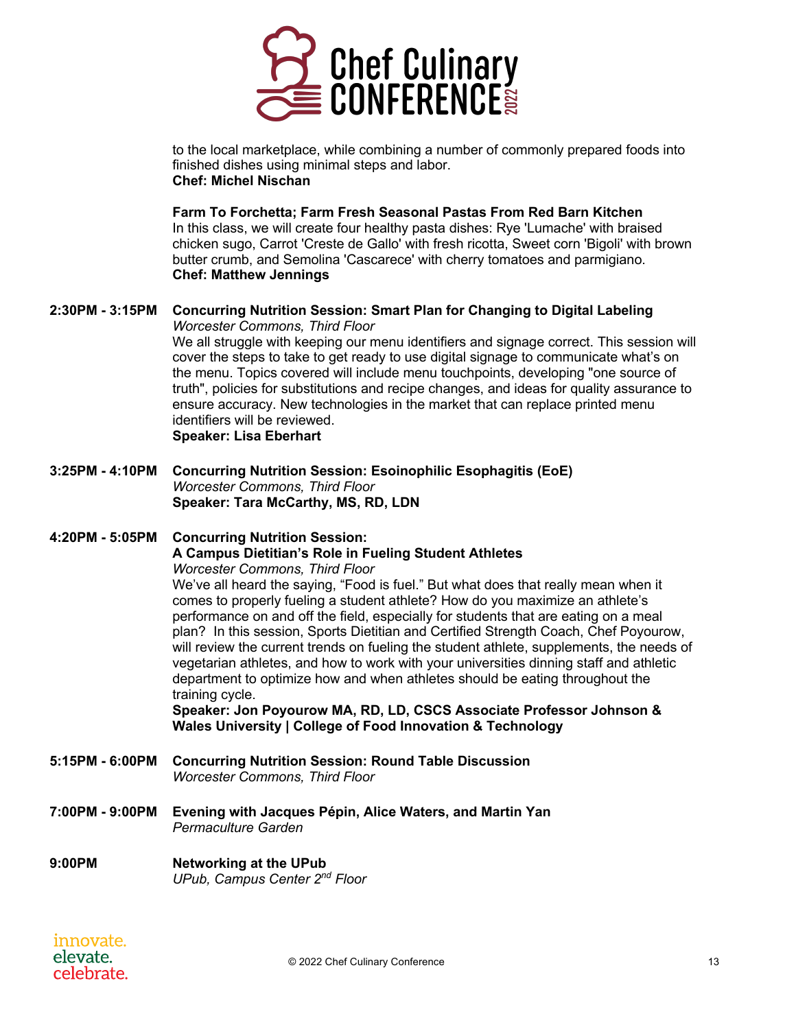

to the local marketplace, while combining a number of commonly prepared foods into finished dishes using minimal steps and labor. **Chef: Michel Nischan**

**Farm To Forchetta; Farm Fresh Seasonal Pastas From Red Barn Kitchen** In this class, we will create four healthy pasta dishes: Rye 'Lumache' with braised chicken sugo, Carrot 'Creste de Gallo' with fresh ricotta, Sweet corn 'Bigoli' with brown butter crumb, and Semolina 'Cascarece' with cherry tomatoes and parmigiano. **Chef: Matthew Jennings**

#### **2:30PM - 3:15PM Concurring Nutrition Session: Smart Plan for Changing to Digital Labeling** *Worcester Commons, Third Floor*

We all struggle with keeping our menu identifiers and signage correct. This session will cover the steps to take to get ready to use digital signage to communicate what's on the menu. Topics covered will include menu touchpoints, developing "one source of truth", policies for substitutions and recipe changes, and ideas for quality assurance to ensure accuracy. New technologies in the market that can replace printed menu identifiers will be reviewed.

# **Speaker: Lisa Eberhart**

**3:25PM - 4:10PM Concurring Nutrition Session: Esoinophilic Esophagitis (EoE)** *Worcester Commons, Third Floor* **Speaker: Tara McCarthy, MS, RD, LDN**

# **4:20PM - 5:05PM Concurring Nutrition Session: A Campus Dietitian's Role in Fueling Student Athletes** *Worcester Commons, Third Floor*

We've all heard the saying, "Food is fuel." But what does that really mean when it comes to properly fueling a student athlete? How do you maximize an athlete's performance on and off the field, especially for students that are eating on a meal plan? In this session, Sports Dietitian and Certified Strength Coach, Chef Poyourow, will review the current trends on fueling the student athlete, supplements, the needs of vegetarian athletes, and how to work with your universities dinning staff and athletic department to optimize how and when athletes should be eating throughout the training cycle.

**Speaker: Jon Poyourow MA, RD, LD, CSCS Associate Professor Johnson & Wales University | College of Food Innovation & Technology**

- **5:15PM - 6:00PM Concurring Nutrition Session: Round Table Discussion** *Worcester Commons, Third Floor*
- **7:00PM - 9:00PM Evening with Jacques Pépin, Alice Waters, and Martin Yan** *Permaculture Garden*

#### **9:00PM Networking at the UPub** *UPub, Campus Center 2nd Floor*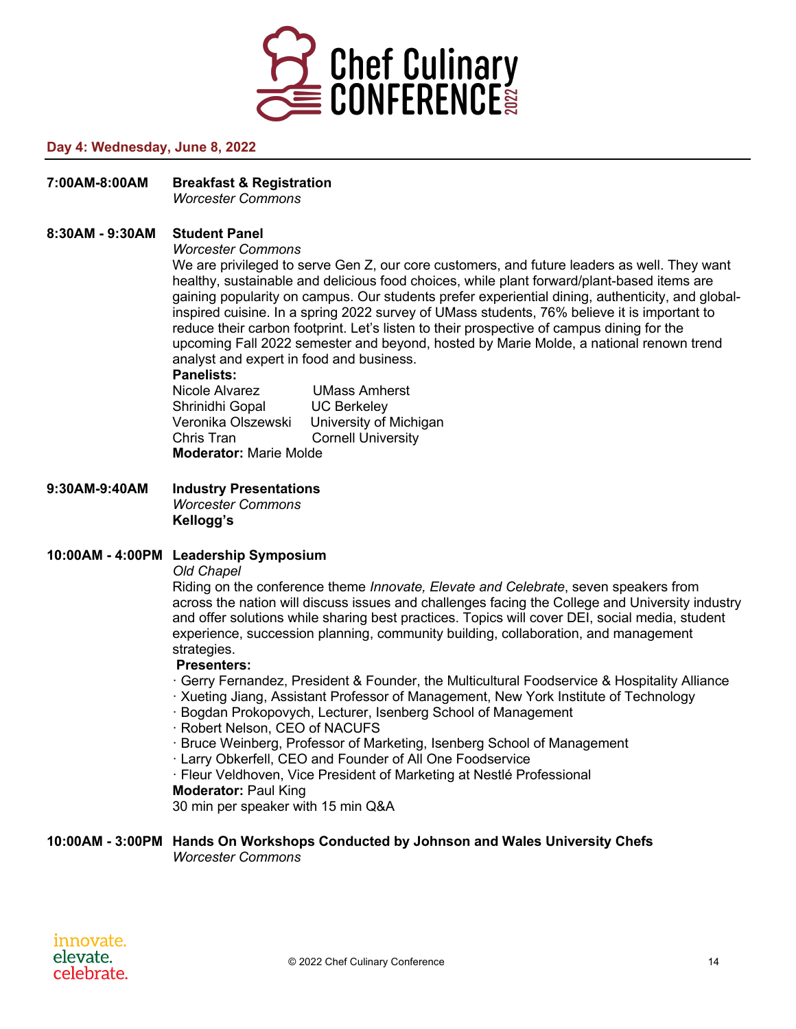

#### **Day 4: Wednesday, June 8, 2022**

# **7:00AM-8:00AM Breakfast & Registration**

*Worcester Commons*

#### **8:30AM - 9:30AM Student Panel**

*Worcester Commons*

We are privileged to serve Gen Z, our core customers, and future leaders as well. They want healthy, sustainable and delicious food choices, while plant forward/plant-based items are gaining popularity on campus. Our students prefer experiential dining, authenticity, and globalinspired cuisine. In a spring 2022 survey of UMass students, 76% believe it is important to reduce their carbon footprint. Let's listen to their prospective of campus dining for the upcoming Fall 2022 semester and beyond, hosted by Marie Molde, a national renown trend analyst and expert in food and business.

#### **Panelists:**

| Nicole Alvarez                | <b>UMass Amherst</b>      |
|-------------------------------|---------------------------|
| Shrinidhi Gopal               | <b>UC Berkeley</b>        |
| Veronika Olszewski            | University of Michigan    |
| Chris Tran                    | <b>Cornell University</b> |
| <b>Moderator: Marie Molde</b> |                           |

#### **9:30AM-9:40AM Industry Presentations** *Worcester Commons* **Kellogg's**

#### **10:00AM - 4:00PM Leadership Symposium**

#### *Old Chapel*

Riding on the conference theme *Innovate, Elevate and Celebrate*, seven speakers from across the nation will discuss issues and challenges facing the College and University industry and offer solutions while sharing best practices. Topics will cover DEI, social media, student experience, succession planning, community building, collaboration, and management strategies.

#### **Presenters:**

· Gerry Fernandez, President & Founder, the Multicultural Foodservice & Hospitality Alliance

- · Xueting Jiang, Assistant Professor of Management, New York Institute of Technology
- · Bogdan Prokopovych, Lecturer, Isenberg School of Management
- · Robert Nelson, CEO of NACUFS
- · Bruce Weinberg, Professor of Marketing, Isenberg School of Management
- · Larry Obkerfell, CEO and Founder of All One Foodservice
- · Fleur Veldhoven, Vice President of Marketing at Nestlé Professional

#### **Moderator:** Paul King

30 min per speaker with 15 min Q&A

#### **10:00AM - 3:00PM Hands On Workshops Conducted by Johnson and Wales University Chefs** *Worcester Commons*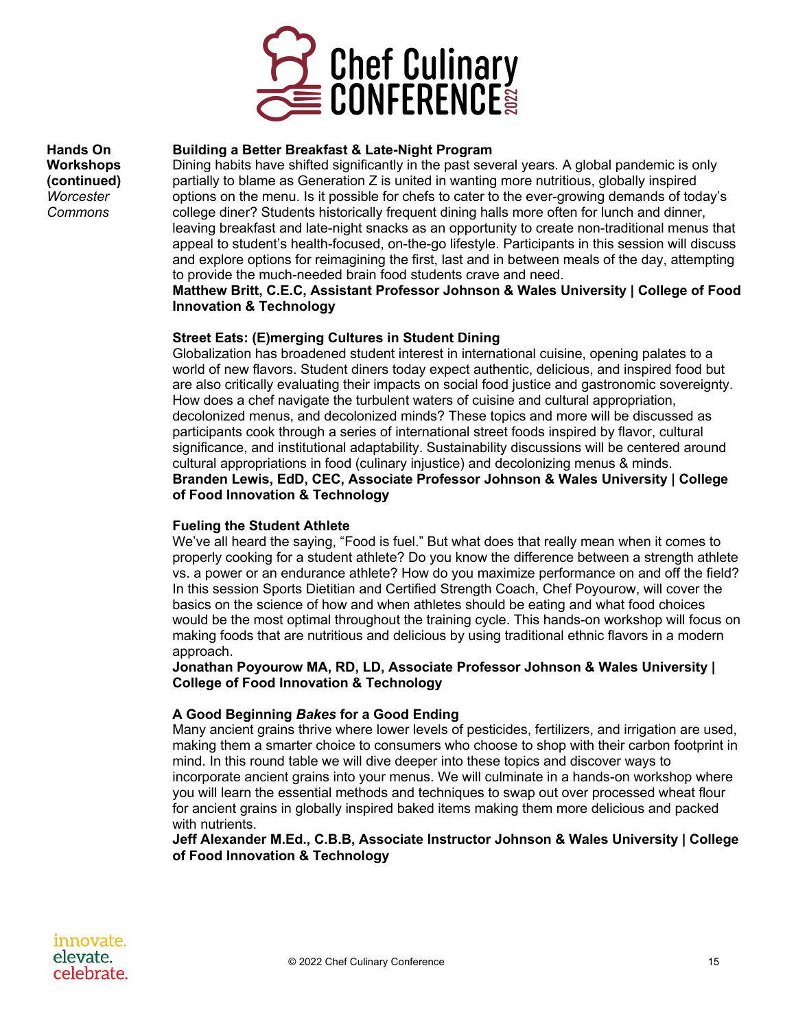

**Hands On Workshops (continued)** *Worcester Commons*

#### **Building a Better Breakfast & Late-Night Program**

Dining habits have shifted significantly in the past several years. A global pandemic is only partially to blame as Generation Z is united in wanting more nutritious, globally inspired options on the menu. Is it possible for chefs to cater to the ever-growing demands of today's college diner? Students historically frequent dining halls more often for lunch and dinner, leaving breakfast and late-night snacks as an opportunity to create non-traditional menus that appeal to student's health-focused, on-the-go lifestyle. Participants in this session will discuss and explore options for reimagining the first, last and in between meals of the day, attempting to provide the much-needed brain food students crave and need.

#### **Matthew Britt, C.E.C, Assistant Professor Johnson & Wales University | College of Food Innovation & Technology**

#### **Street Eats: (E)merging Cultures in Student Dining**

Globalization has broadened student interest in international cuisine, opening palates to a world of new flavors. Student diners today expect authentic, delicious, and inspired food but are also critically evaluating their impacts on social food justice and gastronomic sovereignty. How does a chef navigate the turbulent waters of cuisine and cultural appropriation, decolonized menus, and decolonized minds? These topics and more will be discussed as participants cook through a series of international street foods inspired by flavor, cultural significance, and institutional adaptability. Sustainability discussions will be centered around cultural appropriations in food (culinary injustice) and decolonizing menus & minds. **Branden Lewis, EdD, CEC, Associate Professor Johnson & Wales University | College of Food Innovation & Technology**

#### **Fueling the Student Athlete**

We've all heard the saying, "Food is fuel." But what does that really mean when it comes to properly cooking for a student athlete? Do you know the difference between a strength athlete vs. a power or an endurance athlete? How do you maximize performance on and off the field? In this session Sports Dietitian and Certified Strength Coach, Chef Poyourow, will cover the basics on the science of how and when athletes should be eating and what food choices would be the most optimal throughout the training cycle. This hands-on workshop will focus on making foods that are nutritious and delicious by using traditional ethnic flavors in a modern approach.

#### **Jonathan Poyourow MA, RD, LD, Associate Professor Johnson & Wales University | College of Food Innovation & Technology**

# **A Good Beginning** *Bakes* **for a Good Ending**

Many ancient grains thrive where lower levels of pesticides, fertilizers, and irrigation are used, making them a smarter choice to consumers who choose to shop with their carbon footprint in mind. In this round table we will dive deeper into these topics and discover ways to incorporate ancient grains into your menus. We will culminate in a hands-on workshop where you will learn the essential methods and techniques to swap out over processed wheat flour for ancient grains in globally inspired baked items making them more delicious and packed with nutrients.

**Jeff Alexander M.Ed., C.B.B, Associate Instructor Johnson & Wales University | College of Food Innovation & Technology**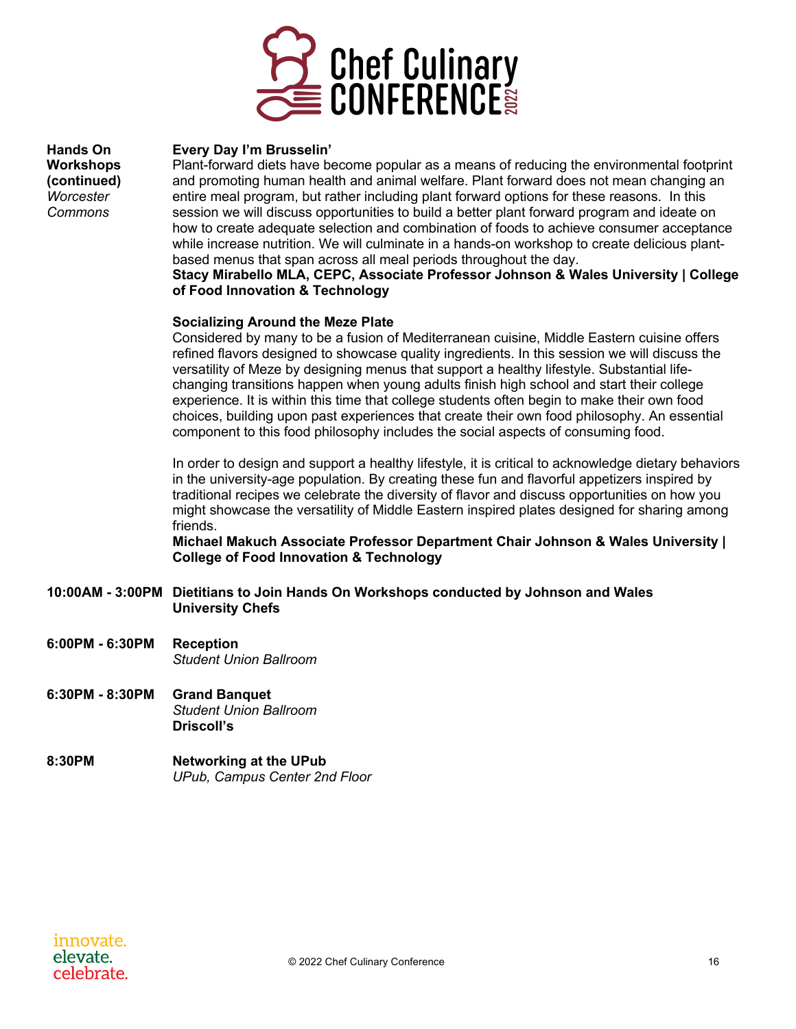

**Hands On Workshops (continued)** *Worcester Commons*

#### **Every Day I'm Brusselin'**

Plant-forward diets have become popular as a means of reducing the environmental footprint and promoting human health and animal welfare. Plant forward does not mean changing an entire meal program, but rather including plant forward options for these reasons. In this session we will discuss opportunities to build a better plant forward program and ideate on how to create adequate selection and combination of foods to achieve consumer acceptance while increase nutrition. We will culminate in a hands-on workshop to create delicious plantbased menus that span across all meal periods throughout the day.

#### **Stacy Mirabello MLA, CEPC, Associate Professor Johnson & Wales University | College of Food Innovation & Technology**

#### **Socializing Around the Meze Plate**

Considered by many to be a fusion of Mediterranean cuisine, Middle Eastern cuisine offers refined flavors designed to showcase quality ingredients. In this session we will discuss the versatility of Meze by designing menus that support a healthy lifestyle. Substantial lifechanging transitions happen when young adults finish high school and start their college experience. It is within this time that college students often begin to make their own food choices, building upon past experiences that create their own food philosophy. An essential component to this food philosophy includes the social aspects of consuming food.

In order to design and support a healthy lifestyle, it is critical to acknowledge dietary behaviors in the university-age population. By creating these fun and flavorful appetizers inspired by traditional recipes we celebrate the diversity of flavor and discuss opportunities on how you might showcase the versatility of Middle Eastern inspired plates designed for sharing among friends.

**Michael Makuch Associate Professor Department Chair Johnson & Wales University | College of Food Innovation & Technology**

- **10:00AM - 3:00PM Dietitians to Join Hands On Workshops conducted by Johnson and Wales University Chefs**
- **6:00PM - 6:30PM Reception** *Student Union Ballroom*
- **6:30PM - 8:30PM Grand Banquet** *Student Union Ballroom* **Driscoll's**
- **8:30PM Networking at the UPub** *UPub, Campus Center 2nd Floor*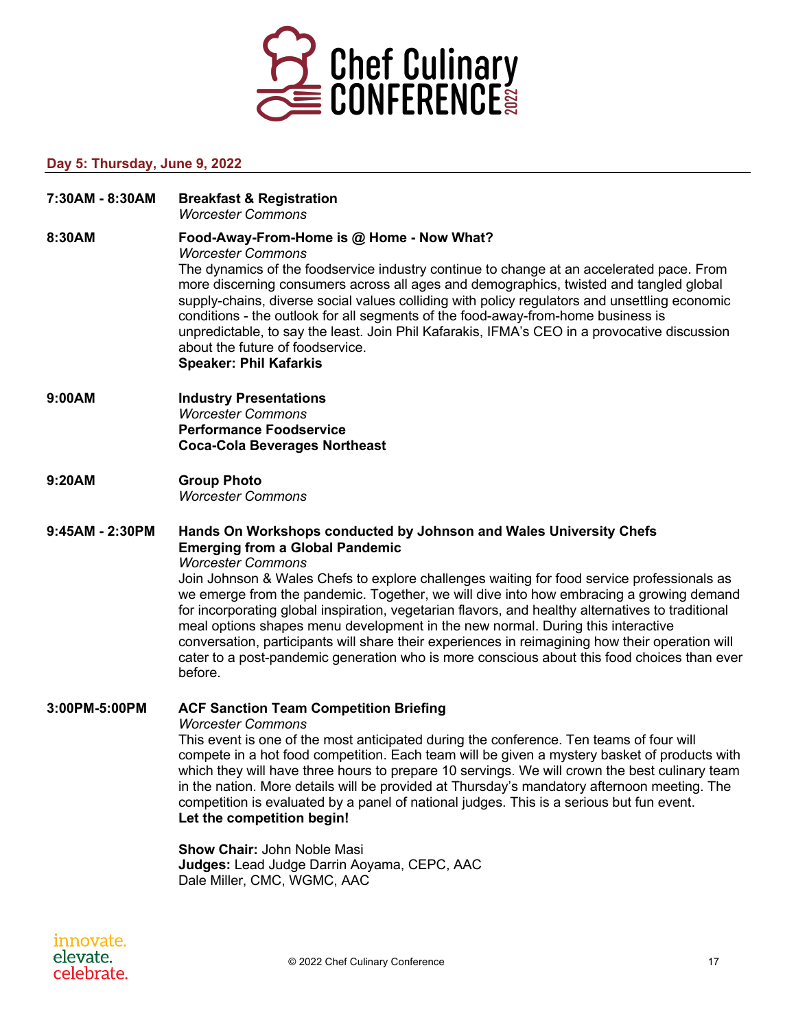

# **Day 5: Thursday, June 9, 2022**

| 7:30AM - 8:30AM | <b>Breakfast &amp; Registration</b><br><b>Worcester Commons</b>                                                                                                                                                                                                                                                                                                                                                                                                                                                                                                                                                                                                                                                                        |
|-----------------|----------------------------------------------------------------------------------------------------------------------------------------------------------------------------------------------------------------------------------------------------------------------------------------------------------------------------------------------------------------------------------------------------------------------------------------------------------------------------------------------------------------------------------------------------------------------------------------------------------------------------------------------------------------------------------------------------------------------------------------|
| 8:30AM          | Food-Away-From-Home is @ Home - Now What?<br><b>Worcester Commons</b><br>The dynamics of the foodservice industry continue to change at an accelerated pace. From<br>more discerning consumers across all ages and demographics, twisted and tangled global<br>supply-chains, diverse social values colliding with policy regulators and unsettling economic<br>conditions - the outlook for all segments of the food-away-from-home business is<br>unpredictable, to say the least. Join Phil Kafarakis, IFMA's CEO in a provocative discussion<br>about the future of foodservice.<br><b>Speaker: Phil Kafarkis</b>                                                                                                                  |
| 9:00AM          | <b>Industry Presentations</b><br><b>Worcester Commons</b><br><b>Performance Foodservice</b><br><b>Coca-Cola Beverages Northeast</b>                                                                                                                                                                                                                                                                                                                                                                                                                                                                                                                                                                                                    |
| 9:20AM          | <b>Group Photo</b><br><b>Worcester Commons</b>                                                                                                                                                                                                                                                                                                                                                                                                                                                                                                                                                                                                                                                                                         |
| 9:45AM - 2:30PM | Hands On Workshops conducted by Johnson and Wales University Chefs<br><b>Emerging from a Global Pandemic</b><br><b>Worcester Commons</b><br>Join Johnson & Wales Chefs to explore challenges waiting for food service professionals as<br>we emerge from the pandemic. Together, we will dive into how embracing a growing demand<br>for incorporating global inspiration, vegetarian flavors, and healthy alternatives to traditional<br>meal options shapes menu development in the new normal. During this interactive<br>conversation, participants will share their experiences in reimagining how their operation will<br>cater to a post-pandemic generation who is more conscious about this food choices than ever<br>before. |
| 3:00PM-5:00PM   | <b>ACF Sanction Team Competition Briefing</b><br><b>Worcester Commons</b><br>This event is one of the most anticipated during the conference. Ten teams of four will<br>compete in a hot food competition. Each team will be given a mystery basket of products with<br>which they will have three hours to prepare 10 servings. We will crown the best culinary team<br>in the nation. More details will be provided at Thursday's mandatory afternoon meeting. The<br>competition is evaluated by a panel of national judges. This is a serious but fun event.<br>Let the competition begin!<br>Show Chair: John Noble Masi<br>Judges: Lead Judge Darrin Aoyama, CEPC, AAC<br>Dale Miller, CMC, WGMC, AAC                            |